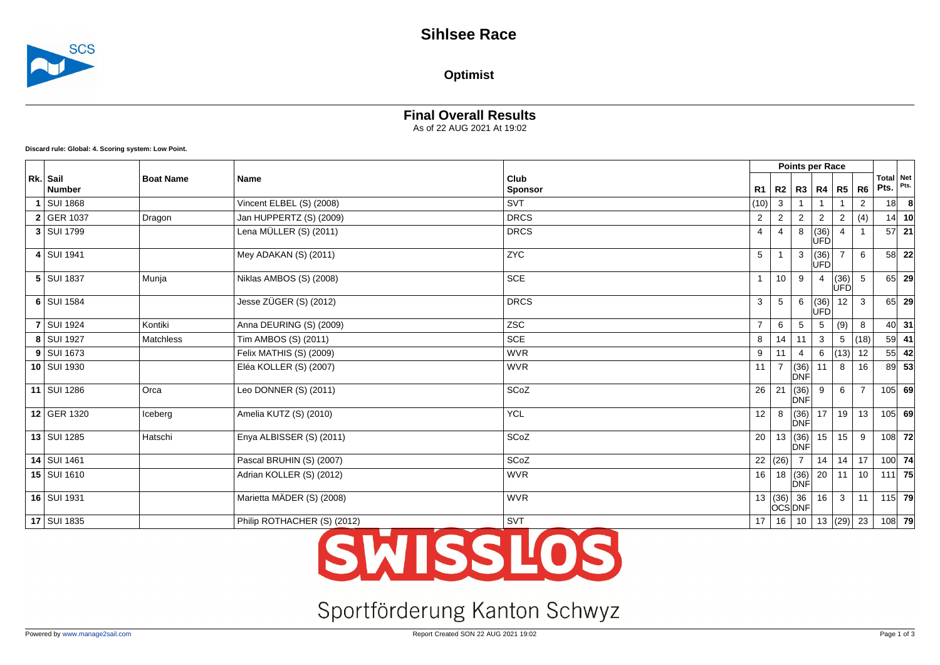

### **Optimist**

#### **Final Overall Results** As of 22 AUG 2021 At 19:02

**Discard rule: Global: 4. Scoring system: Low Point.**

|  |                           |                  |                             |                        |                 |                 |                           | Points per Race    |                 |                |                   |          |
|--|---------------------------|------------------|-----------------------------|------------------------|-----------------|-----------------|---------------------------|--------------------|-----------------|----------------|-------------------|----------|
|  | Rk. Sail<br><b>Number</b> | <b>Boat Name</b> | <b>Name</b>                 | Club<br><b>Sponsor</b> | R1              |                 | R2   R3   R4              |                    | R5              | R6             | Total Net<br>Pts. | Pts.     |
|  | SUI 1868                  |                  | Vincent ELBEL (S) (2008)    | <b>SVT</b>             | (10)            | 3               |                           |                    |                 | 2              | 18                | -8       |
|  | 2 GER 1037                | Dragon           | Jan HUPPERTZ (S) (2009)     | <b>DRCS</b>            | $\overline{2}$  | $\overline{2}$  | 2                         | 2                  | $\overline{2}$  | (4)            | 14                | 10       |
|  | 3   SUI 1799              |                  | Lena MÜLLER (S) (2011)      | <b>DRCS</b>            | 4               | 4               | 8                         | (UFD)              |                 |                | 57                | 21       |
|  | 4 SUI 1941                |                  | Mey ADAKAN (S) (2011)       | ZYC                    | 5               |                 | 3                         | (36)<br><b>ÚFD</b> | $\overline{7}$  | 6              |                   | 58 22    |
|  | 5   SUI 1837              | Munja            | Niklas AMBOS (S) (2008)     | <b>SCE</b>             |                 | 10 <sup>1</sup> | 9                         | 4                  | (36)<br>UFDl    | 5              | 65                | 29       |
|  | 6 SUI 1584                |                  | Jesse ZÜGER (S) (2012)      | <b>DRCS</b>            | 3               | 5               | 6                         | (36)<br><b>ÚFD</b> | 12 <sup>2</sup> | 3              |                   | 65 29    |
|  | <b>7 SUI 1924</b>         | Kontiki          | Anna DEURING (S) (2009)     | <b>ZSC</b>             | $\overline{7}$  | 6               | 5                         | -5                 | (9)             | 8              | 40                | 31       |
|  | 8 SUI 1927                | Matchless        | Tim AMBOS (S) (2011)        | SCE                    | 8               | 14              | 11                        | $\mathbf{3}$       | 5               | (18)           | 59                | 41       |
|  | $9$ SUI 1673              |                  | Felix MATHIS (S) (2009)     | <b>WVR</b>             | 9               | 11              | 4                         | 6                  | (13)            | 12             | 55                | 42       |
|  | 10 SUI 1930               |                  | Eléa KOLLER (S) (2007)      | <b>WVR</b>             | 11              | $\overline{7}$  | (36)<br>DNF               | 11                 | 8               | 16             | 89                | 53       |
|  | 11 SUI 1286               | Orca             | Leo DONNER (S) (2011)       | SCoZ                   | 26              | 21              | (36)<br><b>DNF</b>        | 9                  | 6               | $\overline{7}$ |                   | $105$ 69 |
|  | 12 GER 1320               | Iceberg          | Amelia KUTZ (S) (2010)      | <b>YCL</b>             | 12 <sup>°</sup> | 8               | (36)<br>DNF               | 17                 | 19              | 13             |                   | $105$ 69 |
|  | 13 SUI 1285               | Hatschi          | Enya ALBISSER (S) (2011)    | SCoZ                   | 20              |                 | 13   (36)<br>DNF          | 15                 | 15              | 9              |                   | $108$ 72 |
|  | 14   SUI 1461             |                  | Pascal BRUHIN (S) (2007)    | SCoZ                   |                 | 22  (26)        |                           | 14                 | 14              | 17             |                   | $100$ 74 |
|  | 15   SUI 1610             |                  | Adrian KOLLER (S) (2012)    | <b>WVR</b>             | 16              |                 | 18   (36)<br>DNF          | 20                 | 11 <sup>1</sup> | 10             |                   | $111$ 75 |
|  | 16   SUI 1931             |                  | Marietta MÄDER (S) (2008)   | <b>WVR</b>             |                 |                 | 13  (36)   36<br>∣òcś∣bnF | 16                 | 3 I             | 11             |                   | $115$ 79 |
|  | 17 SUI 1835               |                  | Philip ROTHACHER (S) (2012) | SVT                    | 17              | 16              | 10                        |                    |                 | 13 $ (29)$ 23  |                   | $108$ 79 |

# SWISSLOS

# Sportförderung Kanton Schwyz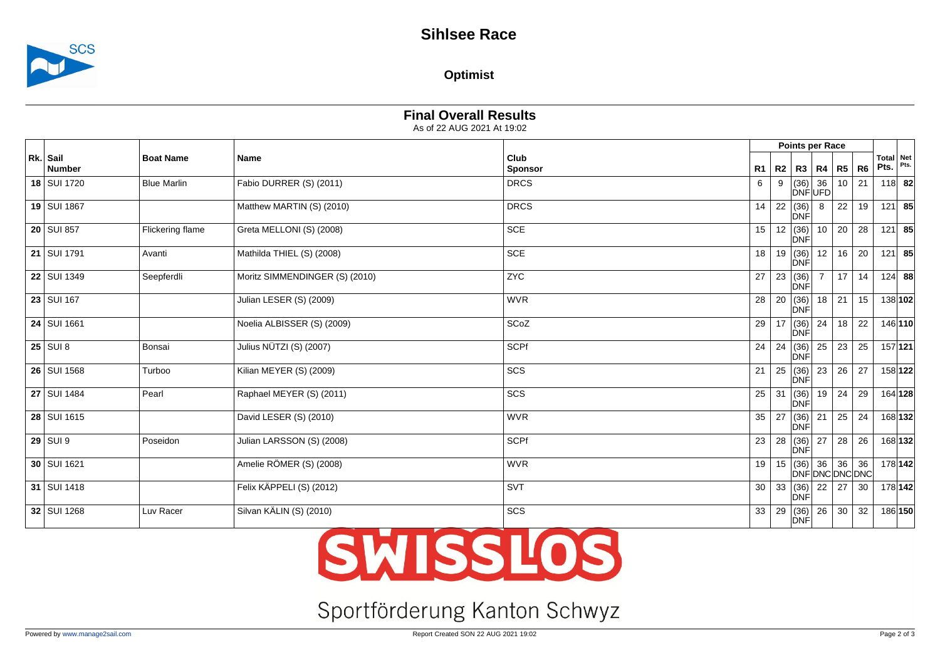

### **Optimist**

## **Final Overall Results**

As of 22 AUG 2021 At 19:02

|                           |                    |                                |                        | Points per Race |    |                              |                       |                 |    |                      |             |
|---------------------------|--------------------|--------------------------------|------------------------|-----------------|----|------------------------------|-----------------------|-----------------|----|----------------------|-------------|
| Rk. Sail<br><b>Number</b> | <b>Boat Name</b>   | <b>Name</b>                    | Club<br><b>Sponsor</b> | R1              |    | R2   R3   R4                 |                       | R5              | R6 | <b>Total</b><br>Pts. | Net<br>Pts. |
| 18 SUI 1720               | <b>Blue Marlin</b> | Fabio DURRER (S) (2011)        | <b>DRCS</b>            | 6               |    | (36)<br>DNF UFD              | 36                    | 10 <sup>1</sup> | 21 | $118$ 82             |             |
| 19 SUI 1867               |                    | Matthew MARTIN (S) (2010)      | <b>DRCS</b>            | 14              |    | 22   (36)<br>DNF             | 8                     | 22              | 19 | $121$ 85             |             |
| $20$ SUI 857              | Flickering flame   | Greta MELLONI (S) (2008)       | <b>SCE</b>             | 15 <sub>1</sub> |    | 12   (36)<br>DNF             | 10                    | 20 <sup>1</sup> | 28 | $121$ 85             |             |
| 21   SUI 1791             | Avanti             | Mathilda THIEL (S) (2008)      | <b>SCE</b>             | 18              |    | 19(36)<br>DNF                | 12                    | 16 <sup>1</sup> | 20 | 121 85               |             |
| 22   SUI 1349             | Seepferdli         | Moritz SIMMENDINGER (S) (2010) | ZYC                    | 27              |    | 23   (36)<br>DNF             | $\overline{7}$        | 17 <sup>1</sup> | 14 | $124$ 88             |             |
| $23$ SUI 167              |                    | Julian LESER (S) (2009)        | <b>WVR</b>             | 28              |    | 20   (36)<br>DNF             | $\overline{18}$       | 21              | 15 |                      | 138 102     |
| 24   SUI 1661             |                    | Noelia ALBISSER (S) (2009)     | SCoZ                   | 29              | 17 | (36)<br>DNF                  | 24                    | 18              | 22 | 146 110              |             |
| $25$ SUI 8                | Bonsai             | Julius NÜTZI (S) (2007)        | <b>SCPf</b>            | 24              | 24 | (36)<br>DNF                  | 25                    | 23              | 25 | 157 121              |             |
| 26   SUI 1568             | Turboo             | Kilian MEYER (S) (2009)        | SCS                    | 21              |    | $25 \mid (36)$<br><b>DNF</b> | $\overline{23}$       | 26              | 27 | 158 122              |             |
| 27 SUI 1484               | Pearl              | Raphael MEYER (S) (2011)       | SCS                    | 25              | 31 | (36)<br>DNF                  | $\overline{19}$       | 24              | 29 | 164 128              |             |
| 28   SUI 1615             |                    | David LESER (S) (2010)         | <b>WVR</b>             | 35              | 27 | (36)<br>DNF                  | 21                    | 25              | 24 | 168 132              |             |
| $29$ SUI 9                | Poseidon           | Julian LARSSON (S) (2008)      | SCPf                   | 23              | 28 | (36)<br>DNF                  | 27                    | 28              | 26 | 168 132              |             |
| 30   SUI 1621             |                    | Amelie RÖMER (S) (2008)        | <b>WVR</b>             | 19              |    | 15   (36)                    | 36<br>DNF DNC DNC DNC | 36              | 36 | 178 142              |             |
| 31   SUI 1418             |                    | Felix KÄPPELI (S) (2012)       | SVT                    | 30              |    | 33   (36)<br>DNF             | 22                    | 27              | 30 | 178 142              |             |
| 32 SUI 1268               | Luv Racer          | Silvan KÄLIN (S) (2010)        | SCS                    | 33              | 29 | (36)<br><b>DNF</b>           | 26                    | 30              | 32 | 186 150              |             |

# **SWISSLOS**

# Sportförderung Kanton Schwyz